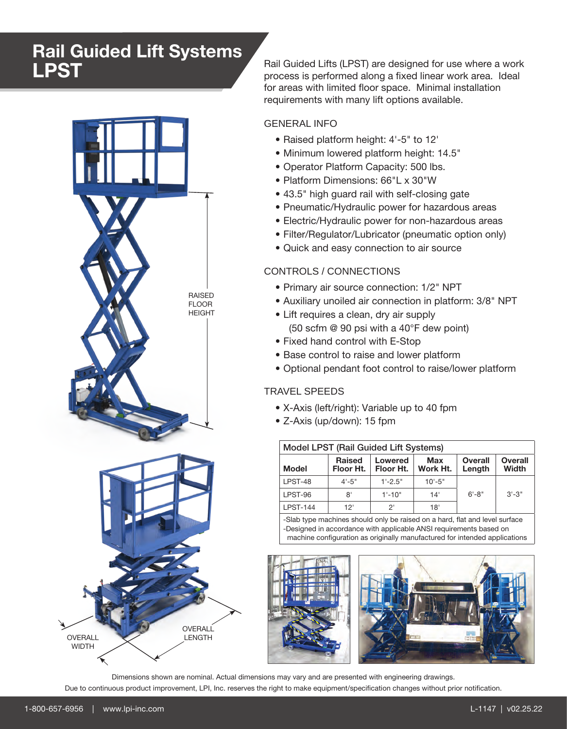# Rail Guided Lift Systems LPST



Rail Guided Lifts (LPST) are designed for use where a work process is performed along a fixed linear work area. Ideal for areas with limited floor space. Minimal installation requirements with many lift options available.

## GENERAL INFO

- Raised platform height: 4'-5" to 12'
- Minimum lowered platform height: 14.5"
- Operator Platform Capacity: 500 lbs.
- Platform Dimensions: 66"L x 30"W
- 43.5" high guard rail with self-closing gate
- Pneumatic/Hydraulic power for hazardous areas
- Electric/Hydraulic power for non-hazardous areas
- Filter/Regulator/Lubricator (pneumatic option only)
- Quick and easy connection to air source

### CONTROLS / CONNECTIONS

- Primary air source connection: 1/2" NPT
- Auxiliary unoiled air connection in platform: 3/8" NPT
- Lift requires a clean, dry air supply (50 scfm @ 90 psi with a 40°F dew point)
- Fixed hand control with E-Stop
- Base control to raise and lower platform
- Optional pendant foot control to raise/lower platform

### TRAVEL SPEEDS

- X-Axis (left/right): Variable up to 40 fpm
- Z-Axis (up/down): 15 fpm

| Model LPST (Rail Guided Lift Systems) |                            |                      |                 |                          |                  |
|---------------------------------------|----------------------------|----------------------|-----------------|--------------------------|------------------|
| <b>Model</b>                          | <b>Raised</b><br>Floor Ht. | Lowered<br>Floor Ht. | Max<br>Work Ht. | <b>Overall</b><br>Length | Overall<br>Width |
| LPST-48                               | $4 - 5"$                   | $1'-2.5$ "           | $10' - 5"$      |                          |                  |
| LPST-96                               | 8'                         | $1' - 10"$           | 14'             | $6' - 8"$                | $3'-3''$         |
| <b>LPST-144</b>                       | 12'                        | ク                    | 18'             |                          |                  |

-Slab type machines should only be raised on a hard, flat and level surface -Designed in accordance with applicable ANSI requirements based on machine configuration as originally manufactured for intended applications



Due to continuous product improvement, LPI, Inc. reserves the right to make equipment/specification changes without prior notification. Dimensions shown are nominal. Actual dimensions may vary and are presented with engineering drawings.